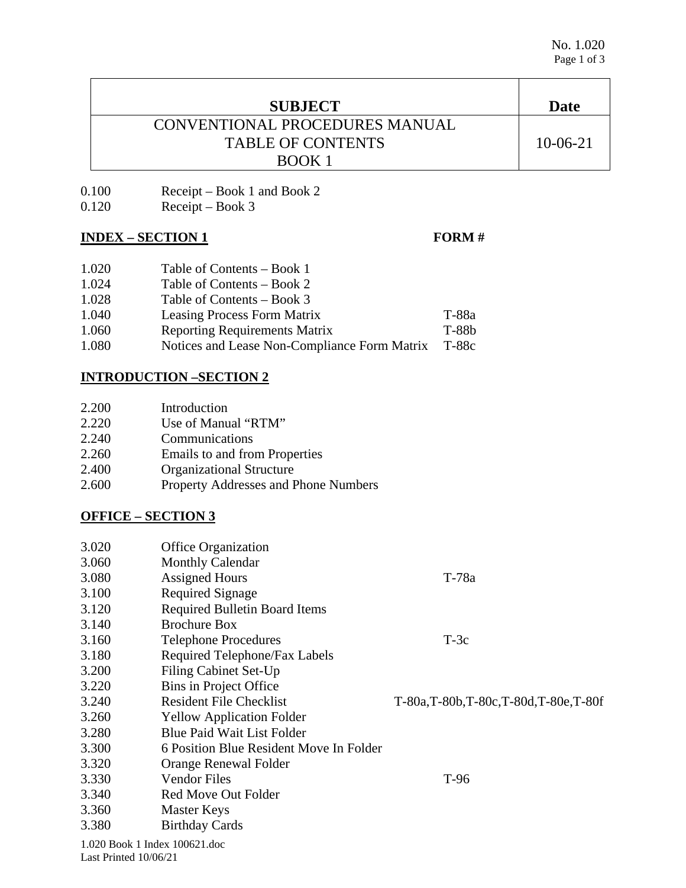### **SUBJECT Date**  CONVENTIONAL PROCEDURES MANUAL TABLE OF CONTENTS BOOK 1 10-06-21

0.100 Receipt – Book 1 and Book 2

0.120 Receipt – Book 3

# **INDEX – SECTION 1 FORM #**

- 1.020 Table of Contents Book 1
- 1.024 Table of Contents Book 2
- 1.028 Table of Contents Book 3
- 1.040 Leasing Process Form Matrix T-88a
- 1.060 Reporting Requirements Matrix T-88b
- 1.080 Notices and Lease Non-Compliance Form Matrix T-88c

# **INTRODUCTION –SECTION 2**

- 2.220 Use of Manual "RTM"
- 2.240 Communications
- 2.260 Emails to and from Properties
- 2.400 Organizational Structure
- 2.600 Property Addresses and Phone Numbers

# **OFFICE – SECTION 3**

| 3.020 | <b>Office Organization</b>              |                                          |
|-------|-----------------------------------------|------------------------------------------|
| 3.060 | <b>Monthly Calendar</b>                 |                                          |
| 3.080 | <b>Assigned Hours</b>                   | $T-78a$                                  |
| 3.100 | Required Signage                        |                                          |
| 3.120 | Required Bulletin Board Items           |                                          |
| 3.140 | <b>Brochure Box</b>                     |                                          |
| 3.160 | <b>Telephone Procedures</b>             | $T-3c$                                   |
| 3.180 | Required Telephone/Fax Labels           |                                          |
| 3.200 | Filing Cabinet Set-Up                   |                                          |
| 3.220 | Bins in Project Office                  |                                          |
| 3.240 | <b>Resident File Checklist</b>          | T-80a, T-80b, T-80c, T-80d, T-80e, T-80f |
| 3.260 | <b>Yellow Application Folder</b>        |                                          |
| 3.280 | <b>Blue Paid Wait List Folder</b>       |                                          |
| 3.300 | 6 Position Blue Resident Move In Folder |                                          |
| 3.320 | Orange Renewal Folder                   |                                          |
| 3.330 | <b>Vendor Files</b>                     | $T-96$                                   |
| 3.340 | Red Move Out Folder                     |                                          |
| 3.360 | <b>Master Keys</b>                      |                                          |
| 3.380 | <b>Birthday Cards</b>                   |                                          |

1.020 Book 1 Index 100621.doc Last Printed 10/06/21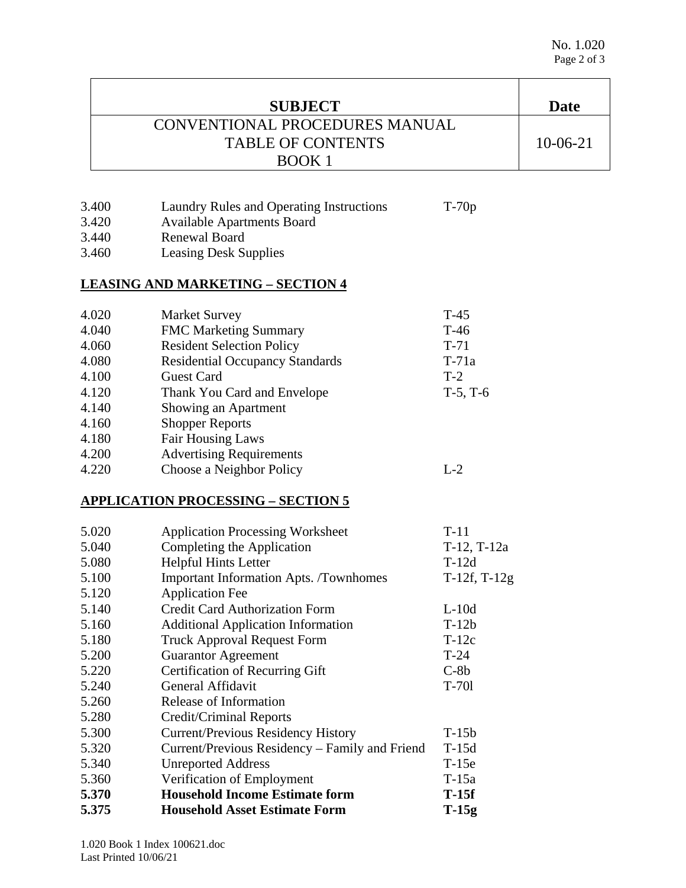| <b>SUBJECT</b>                                          |                | <b>Date</b> |
|---------------------------------------------------------|----------------|-------------|
| CONVENTIONAL PROCEDURES MANUAL                          |                |             |
| <b>TABLE OF CONTENTS</b>                                |                | $10-06-21$  |
| <b>BOOK1</b>                                            |                |             |
|                                                         |                |             |
|                                                         |                |             |
| 3.400<br>Laundry Rules and Operating Instructions       | $T-70p$        |             |
| 3.420<br><b>Available Apartments Board</b>              |                |             |
| <b>Renewal Board</b><br>3.440                           |                |             |
| 3.460<br><b>Leasing Desk Supplies</b>                   |                |             |
| <b>LEASING AND MARKETING - SECTION 4</b>                |                |             |
| 4.020<br><b>Market Survey</b>                           | $T-45$         |             |
| <b>FMC Marketing Summary</b><br>4.040                   | $T-46$         |             |
| <b>Resident Selection Policy</b><br>4.060               | $T-71$         |             |
| <b>Residential Occupancy Standards</b><br>4.080         | $T-71a$        |             |
| 4.100<br><b>Guest Card</b>                              | $T-2$          |             |
| 4.120<br>Thank You Card and Envelope                    | $T-5$ , $T-6$  |             |
| 4.140<br>Showing an Apartment                           |                |             |
| 4.160<br><b>Shopper Reports</b>                         |                |             |
| Fair Housing Laws<br>4.180                              |                |             |
| 4.200<br><b>Advertising Requirements</b>                |                |             |
| 4.220<br>Choose a Neighbor Policy                       | $L-2$          |             |
|                                                         |                |             |
| <b>APPLICATION PROCESSING - SECTION 5</b>               |                |             |
| 5.020<br><b>Application Processing Worksheet</b>        | $T-11$         |             |
| Completing the Application<br>5.040                     | $T-12, T-12a$  |             |
| 5.080<br><b>Helpful Hints Letter</b>                    | $T-12d$        |             |
| <b>Important Information Apts. /Townhomes</b><br>5.100  | $T-12f, T-12g$ |             |
| 5.120<br><b>Application Fee</b>                         |                |             |
| <b>Credit Card Authorization Form</b><br>5.140          | $L-10d$        |             |
| 5.160<br><b>Additional Application Information</b>      | $T-12b$        |             |
| 5.180<br><b>Truck Approval Request Form</b>             | $T-12c$        |             |
| 5.200<br><b>Guarantor Agreement</b>                     | $T-24$         |             |
| Certification of Recurring Gift<br>5.220                | $C-8b$         |             |
| 5.240<br>General Affidavit                              | T-701          |             |
| Release of Information<br>5.260                         |                |             |
| 5.280<br>Credit/Criminal Reports                        |                |             |
| 5.300<br><b>Current/Previous Residency History</b>      | $T-15b$        |             |
| 5.320<br>Current/Previous Residency – Family and Friend | $T-15d$        |             |
| 5.340<br><b>Unreported Address</b>                      | $T-15e$        |             |
| 5.360<br>Verification of Employment                     | $T-15a$        |             |
| <b>Household Income Estimate form</b><br>5.370          | $T-15f$        |             |
| 5.375<br><b>Household Asset Estimate Form</b>           | $T-15g$        |             |